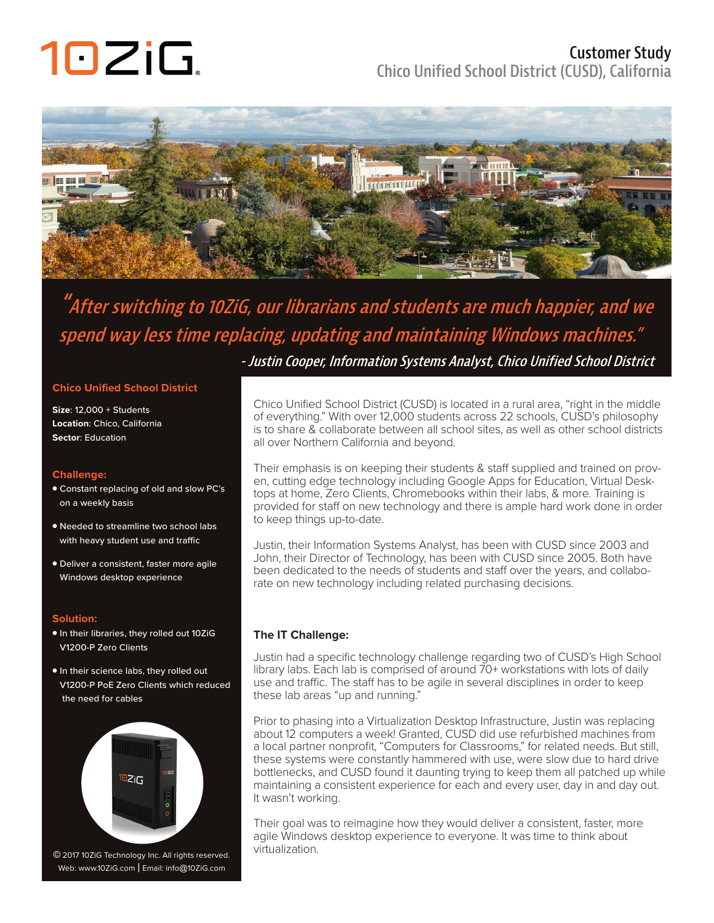# 10ZiG.

### **Customer Study Chico Unified School District (CUSD), California**



### **"After switching to 10ZiG, our librarians and students are much happier, and we spend way less time replacing, updating and maintaining Windows machines."**

 **- Justin Cooper, Information Systems Analyst, Chico Unified School District**

### **Chico Unified School District**

**Size**: 12,000 + Students **Location**: Chico, California **Sector**: Education

### **Challenge:**

- Constant replacing of old and slow PC's on a weekly basis
- Needed to streamline two school labs with heavy student use and traffic
- Deliver a consistent, faster more agile Windows desktop experience

### **Solution:**

- In their libraries, they rolled out 10ZiG V1200-P Zero Clients
- In their science labs, they rolled out V1200-P PoE Zero Clients which reduced the need for cables



Web: www.10ZiG.com | Email: info@10ZiG.com

Chico Unified School District (CUSD) is located in a rural area, "right in the middle of everything." With over 12,000 students across 22 schools, CUSD's philosophy is to share & collaborate between all school sites, as well as other school districts all over Northern California and beyond.

Their emphasis is on keeping their students & staff supplied and trained on proven, cutting edge technology including Google Apps for Education, Virtual Desktops at home, Zero Clients, Chromebooks within their labs, & more. Training is provided for staff on new technology and there is ample hard work done in order to keep things up-to-date.

Justin, their Information Systems Analyst, has been with CUSD since 2003 and John, their Director of Technology, has been with CUSD since 2005. Both have been dedicated to the needs of students and staff over the years, and collaborate on new technology including related purchasing decisions.

### **The IT Challenge:**

Justin had a specific technology challenge regarding two of CUSD's High School library labs. Each lab is comprised of around 70+ workstations with lots of daily use and traffic. The staff has to be agile in several disciplines in order to keep these lab areas "up and running."

Prior to phasing into a Virtualization Desktop Infrastructure, Justin was replacing about 12 computers a week! Granted, CUSD did use refurbished machines from a local partner nonprofit, "Computers for Classrooms," for related needs. But still, these systems were constantly hammered with use, were slow due to hard drive bottlenecks, and CUSD found it daunting trying to keep them all patched up while maintaining a consistent experience for each and every user, day in and day out. It wasn't working.

Their goal was to reimagine how they would deliver a consistent, faster, more agile Windows desktop experience to everyone. It was time to think about